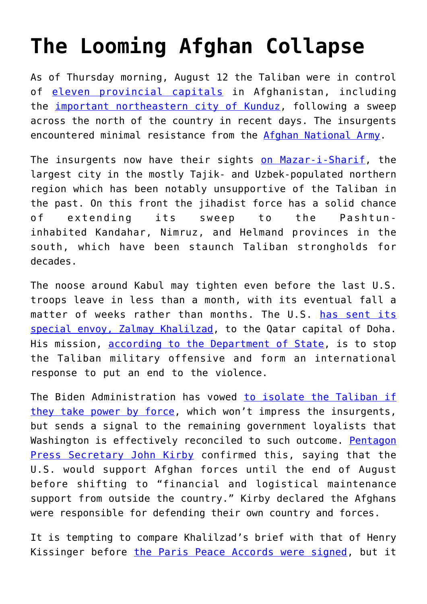## **[The Looming Afghan Collapse](https://intellectualtakeout.org/2021/08/the-looming-afghan-collapse/)**

As of Thursday morning, August 12 the Taliban were in control of [eleven provincial capitals](https://www.bbc.com/news/world-asia-58184202) in Afghanistan, including the [important northeastern city of Kunduz,](https://www.nytimes.com/live/2021/08/08/world/afghanistan-live-updates) following a sweep across the north of the country in recent days. The insurgents encountered minimal resistance from the [Afghan National Army](https://www.rand.org/pubs/monographs/MG845.html).

The insurgents now have their sights [on Mazar-i-Sharif](https://www.france24.com/en/live-news/20210809-fighting-rages-in-afghan-south-after-taliban-s-weekend-blitz), the largest city in the mostly Tajik- and Uzbek-populated northern region which has been notably unsupportive of the Taliban in the past. On this front the jihadist force has a solid chance of extending its sweep to the Pashtuninhabited Kandahar, Nimruz, and Helmand provinces in the south, which have been staunch Taliban strongholds for decades.

The noose around Kabul may tighten even before the last U.S. troops leave in less than a month, with its eventual fall a matter of weeks rather than months. The U.S. [has sent its](https://gandhara.rferl.org/a/afghanistan-khalilzad-taliban-offensive/31402207.html) [special envoy, Zalmay Khalilzad](https://gandhara.rferl.org/a/afghanistan-khalilzad-taliban-offensive/31402207.html), to the Qatar capital of Doha. His mission, [according to the Department of State](https://www.axios.com/us-afghanistan-envoy-qatar-taliban-offensive-talks-83e47e28-c5ab-4883-8b8d-e5bbf3805fdf.html), is to stop the Taliban military offensive and form an international response to put an end to the violence.

The Biden Administration has vowed [to isolate the Taliban if](https://www.news10.com/news/us-envoy-to-warn-taliban-not-to-bet-on-afghan-takeover) [they take power by force,](https://www.news10.com/news/us-envoy-to-warn-taliban-not-to-bet-on-afghan-takeover) which won't impress the insurgents, but sends a signal to the remaining government loyalists that Washington is effectively reconciled to such outcome. [Pentagon](https://www.bloomberg.com/news/articles/2021-08-09/afghan-leader-views-peace-talks-as-dead-prepares-for-civil-war) [Press Secretary John Kirby](https://www.bloomberg.com/news/articles/2021-08-09/afghan-leader-views-peace-talks-as-dead-prepares-for-civil-war) confirmed this, saying that the U.S. would support Afghan forces until the end of August before shifting to "financial and logistical maintenance support from outside the country." Kirby declared the Afghans were responsible for defending their own country and forces.

It is tempting to compare Khalilzad's brief with that of Henry Kissinger before [the Paris Peace Accords were signed](https://www.mtholyoke.edu/acad/intrel/paris.htm), but it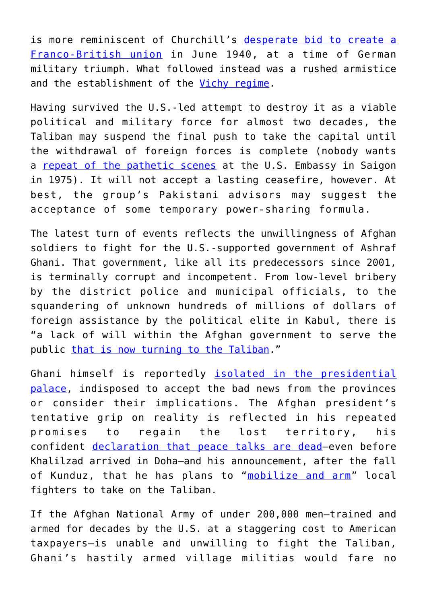is more reminiscent of Churchill's [desperate bid to create a](https://www.jstor.org/stable/260024) [Franco-British union](https://www.jstor.org/stable/260024) in June 1940, at a time of German military triumph. What followed instead was a rushed armistice and the establishment of the [Vichy regime.](https://en.wikipedia.org/wiki/Vichy_France)

Having survived the U.S.-led attempt to destroy it as a viable political and military force for almost two decades, the Taliban may suspend the final push to take the capital until the withdrawal of foreign forces is complete (nobody wants a [repeat of the pathetic scenes](https://www.nydailynews.com/entertainment/tv/days-vietnam-shows-ragged-exit-war-article-1.2193615) at the U.S. Embassy in Saigon in 1975). It will not accept a lasting ceasefire, however. At best, the group's Pakistani advisors may suggest the acceptance of some temporary power-sharing formula.

The latest turn of events reflects the unwillingness of Afghan soldiers to fight for the U.S.-supported government of Ashraf Ghani. That government, like all its predecessors since 2001, is terminally corrupt and incompetent. From low-level bribery by the district police and municipal officials, to the squandering of unknown hundreds of millions of dollars of foreign assistance by the political elite in Kabul, there is "a lack of will within the Afghan government to serve the public [that is now turning to the Taliban.](https://www.lowyinstitute.org/the-interpreter/pakistan-fuelling-taliban-takeover)"

Ghani himself is reportedly [isolated in the presidential](https://www.google.de/search?q=afghan+ghani+isolated&biw=1600&bih=789&tbs=qdr%3Ay&sxsrf=ALeKk00Gsc5qZGJ-w5pmiLnuZCBqsDIMOw%3A1628603070611&ei=voISYb_SJJyN9u8Po8i4qAU&oq=afghan+ghani+isolated&gs_lcp=Cgdnd3Mtd2l6EAM6BwgjELADECc6CwgAEOwDEMQCEIsDOgUIIRCgAToECCEQFToHCCEQChCgAUoECEEYAVDBEljJHWDTIGgBcAB4AIABpQGIAb8HkgEDNC41mAEAoAEByAEBuAECwAEB&sclient=gws-wiz&ved=0ahUKEwi_qYOcy6byAhWchv0HHSMkDlUQ4dUDCA4&uact=5) [palace,](https://www.google.de/search?q=afghan+ghani+isolated&biw=1600&bih=789&tbs=qdr%3Ay&sxsrf=ALeKk00Gsc5qZGJ-w5pmiLnuZCBqsDIMOw%3A1628603070611&ei=voISYb_SJJyN9u8Po8i4qAU&oq=afghan+ghani+isolated&gs_lcp=Cgdnd3Mtd2l6EAM6BwgjELADECc6CwgAEOwDEMQCEIsDOgUIIRCgAToECCEQFToHCCEQChCgAUoECEEYAVDBEljJHWDTIGgBcAB4AIABpQGIAb8HkgEDNC41mAEAoAEByAEBuAECwAEB&sclient=gws-wiz&ved=0ahUKEwi_qYOcy6byAhWchv0HHSMkDlUQ4dUDCA4&uact=5) indisposed to accept the bad news from the provinces or consider their implications. The Afghan president's tentative grip on reality is reflected in his repeated promises to regain the lost territory, his confident [declaration that peace talks are dead—](https://www.bloomberg.com/news/articles/2021-08-09/afghan-leader-views-peace-talks-as-dead-prepares-for-civil-war)even before Khalilzad arrived in Doha—and his announcement, after the fall of Kunduz, that he has plans to "[mobilize and arm"](https://freepresskashmir.news/2021/08/10/afghan-president-prepares-for-civil-war-decides-to-mobilize-arm-civilians-to-fight-taliban/) local fighters to take on the Taliban.

If the Afghan National Army of under 200,000 men—trained and armed for decades by the U.S. at a staggering cost to American taxpayers—is unable and unwilling to fight the Taliban, Ghani's hastily armed village militias would fare no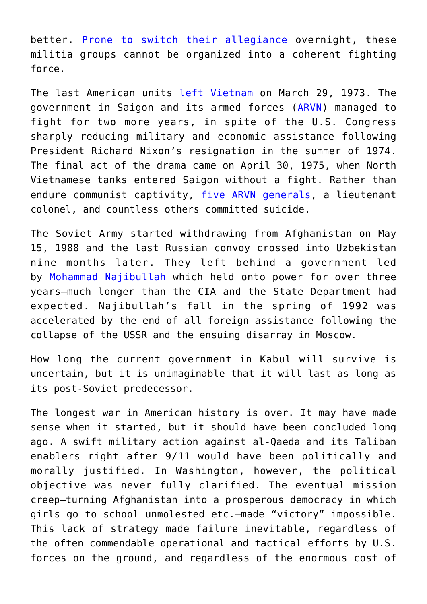better. [Prone to switch their allegiance](https://www.nytimes.com/2021/07/17/world/asia/afghanistan-militias-taliban.html) overnight, these militia groups cannot be organized into a coherent fighting force.

The last American units [left Vietnam](https://www.britannica.com/event/Vietnam-War/The-fall-of-South-Vietnam) on March 29, 1973. The government in Saigon and its armed forces ([ARVN](https://en.wikipedia.org/wiki/Army_of_the_Republic_of_Vietnam)) managed to fight for two more years, in spite of the U.S. Congress sharply reducing military and economic assistance following President Richard Nixon's resignation in the summer of 1974. The final act of the drama came on April 30, 1975, when North Vietnamese tanks entered Saigon without a fight. Rather than endure communist captivity, [five ARVN generals,](https://www.ocregister.com/2017/04/19/heroes-monument-to-honor-south-vietnamese-officers-soldiers-who-killed-themselves-during-fall-of-saigon) a lieutenant colonel, and countless others committed suicide.

The Soviet Army started withdrawing from Afghanistan on May 15, 1988 and the last Russian convoy crossed into Uzbekistan nine months later. They left behind a government led by [Mohammad Najibullah](https://en.wikipedia.org/wiki/Mohammad_Najibullah) which held onto power for over three years—much longer than the CIA and the State Department had expected. Najibullah's fall in the spring of 1992 was accelerated by the end of all foreign assistance following the collapse of the USSR and the ensuing disarray in Moscow.

How long the current government in Kabul will survive is uncertain, but it is unimaginable that it will last as long as its post-Soviet predecessor.

The longest war in American history is over. It may have made sense when it started, but it should have been concluded long ago. A swift military action against al-Qaeda and its Taliban enablers right after 9/11 would have been politically and morally justified. In Washington, however, the political objective was never fully clarified. The eventual mission creep—turning Afghanistan into a prosperous democracy in which girls go to school unmolested etc.—made "victory" impossible. This lack of strategy made failure inevitable, regardless of the often commendable operational and tactical efforts by U.S. forces on the ground, and regardless of the enormous cost of